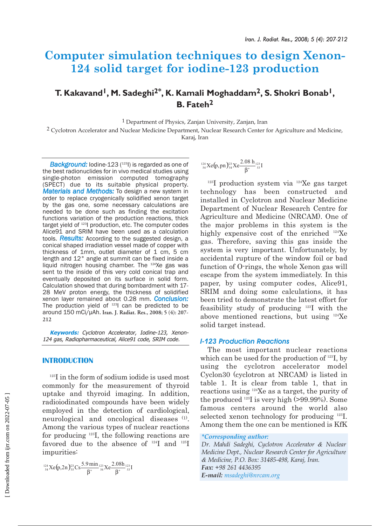# **Computer simulation techniques to design Xenon-124 solid target for iodine-123 production**

# **T. Kakavand1, M. Sadeghi2\*, K. Kamali Moghaddam2, S. Shokri Bonab1, B. Fateh2**

1 Department of Physics, Zanjan University, Zanjan, Iran

<sup>2</sup> Cyclotron Accelerator and Nuclear Medicine Department, Nuclear Research Center for Agriculture and Medicine, Karaj, Iran

**Background:** Iodine-123 (<sup>123</sup>I) is regarded as one of the best radionuclides for in vivo medical studies using single-photon emission computed tomography (SPECT) due to its suitable physical property. *Materials and Methods:* To design a new system in order to replace cryogenically solidified xenon target by the gas one, some necessary calculations are needed to be done such as finding the excitation functions variation of the production reactions, thick target yield of <sup>123</sup>l production, etc. The computer codes Alice91 and SRIM have been used as a calculation tools. *Results:* According to the suggested design, a conical shaped irradiation vessel made of copper with thickness of 1mm, outlet diameter of 1 cm, 5 cm length and 12° angle at summit can be fixed inside a liquid nitrogen housing chamber. The 124Xe gas was sent to the inside of this very cold conical trap and eventually deposited on its surface in solid form. Calculation showed that during bombardment with 17- 28 MeV proton energy, the thickness of solidified xenon layer remained about 0.28 mm. *Conclusion:* The production yield of <sup>123</sup>l can be predicted to be around 150 mCi/µAh. **Iran. J. Radiat. Res., 2008; 5 (4): 207- 212**

**Keywords:** Cyclotron Accelerator, Iodine-123, Xenon-124 gas, Radiopharmaceutical, Alice91 code, SRIM code.

# **INTRODUCTION**

 $123$ I in the form of sodium iodide is used most commonly for the measurement of thyroid uptake and thyroid imaging. In addition, radioiodinated compounds have been widely employed in the detection of cardiological, neurological and oncological diseases (1). Among the various types of nuclear reactions for producing 123I, the following reactions are favored due to the absence of <sup>124</sup>I and <sup>125</sup>I impurities:

$$
^{124}_{54}Xe(p,2n)^{23}_{55}Cs\frac{5.9\,min}{\beta^*} {^{123}_{54}Xe}\frac{2.08h}{\beta^*} {^{123}_{53}I}
$$

<sup>124</sup>  $Xe(p, pn)_{54}^{23} Xe \frac{2.08 h_{123}}{\beta^+}$ <sub>53</sub> I

 $123$ I production system via  $124$ Xe gas target technology has been constructed and installed in Cyclotron and Nuclear Medicine Department of Nuclear Research Centre for Agriculture and Medicine (NRCAM). One of the major problems in this system is the highly expensive cost of the enriched <sup>124</sup>Xe gas. Therefore, saving this gas inside the system is very important. Unfortunately, by accidental rupture of the window foil or bad function of O-rings, the whole Xenon gas will escape from the system immediately. In this paper, by using computer codes, Alice91, SRIM and doing some calculations, it has been tried to demonstrate the latest effort for feasibility study of producing 123I with the above mentioned reactions, but using 124Xe solid target instead.

# *I-123 Production Reactions*

The most important nuclear reactions which can be used for the production of <sup>123</sup>I, by using the cyclotron accelerator model Cyclon30 (cyclotron at NRCAM) is listed in table 1. It is clear from table 1, that in reactions using 124Xe as a target, the purity of the produced 123I is very high (>99.99%). Some famous centers around the world also selected xenon technology for producing 123I. Among them the one can be mentioned is KfK

#### *\*Corresponding author:*

*Dr. Mahdi Sadeghi, Cyclotron Accelerator & Nuclear Medicine Dept., Nuclear Research Center for Agriculture & Medicine, P.O. Box: 31485-498, Karaj, Iran. Fax: +98 261 4436395 E-mail: msadeghi@nrcam.org*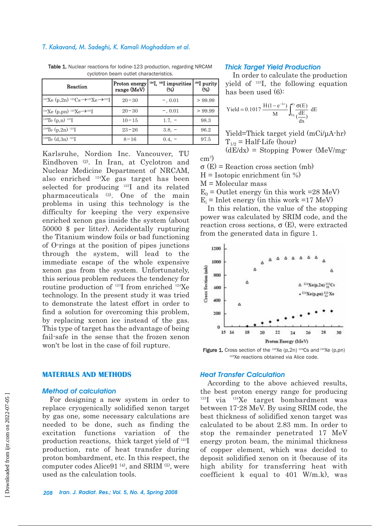#### *T. Kakavand, M. Sadeghi, K. Kamali Moghaddam et al.*

| Reaction                                                                        | Proton energy<br>range (MeV) | $124$ I, $125$ I impurities<br>$(\%)$ | $123$ purity<br>(%) |
|---------------------------------------------------------------------------------|------------------------------|---------------------------------------|---------------------|
| <sup>124</sup> Xe (p,2n) <sup>123</sup> Cs→ <sup>123</sup> Xe→ <sup>123</sup> I | $20 - 30$                    | $-$ , 0.01                            | > 99.99             |
| <sup>124</sup> Xe (p,pn) <sup>123</sup> Xe $\rightarrow$ <sup>123</sup> I       | $20 - 30$                    | $-0.01$                               | > 99.99             |
| <sup>123</sup> Te $(p,n)$ <sup>123</sup> I                                      | $10 - 15$                    | $1.7. -$                              | 98.3                |
| <sup>124</sup> Te $(p,2n)$ <sup>123</sup> I                                     | $23 - 26$                    | $3.8, -$                              | 96.2                |
| <sup>124</sup> Te $(d,3n)$ <sup>123</sup> I                                     | $8 - 16$                     | $0.4, -$                              | 97.5                |

Table 1. Nuclear reactions for Iodine-123 production, regarding NRCAM cyclotron beam outlet characteristics.

Karlsruhe, Nordion Inc. Vancouver, TU Eindhoven (2). In Iran, at Cyclotron and Nuclear Medicine Department of NRCAM, also enriched 124Xe gas target has been selected for producing 123I and its related pharmaceuticals (3). One of the main problems in using this technology is the difficulty for keeping the very expensive enriched xenon gas inside the system (about 50000 \$ per litter). Accidentally rupturing the Titanium window foils or bad functioning of O-rings at the position of pipes junctions through the system, will lead to the immediate escape of the whole expensive xenon gas from the system. Unfortunately, this serious problem reduces the tendency for routine production of 123I from enriched 124Xe technology. In the present study it was tried to demonstrate the latest effort in order to find a solution for overcoming this problem, by replacing xenon ice instead of the gas. This type of target has the advantage of being fail-safe in the sense that the frozen xenon won't be lost in the case of foil rupture.

# **MATERIALS AND METHODS**

#### *Method of calculation*

For designing a new system in order to replace cryogenically solidified xenon target by gas one, some necessary calculations are needed to be done, such as finding the excitation functions variation of the production reactions, thick target yield of 123I production, rate of heat transfer during proton bombardment, etc. In this respect, the computer codes Alice91<sup>(4)</sup>, and SRIM<sup>(5)</sup>, were used as the calculation tools.

#### *Thick Target Yield Production*

In order to calculate the production yield of 123I, the following equation has been used (6):

$$
\text{Yield} = 0.1017 \frac{\text{H} (1 - e^{-\lambda t})}{\text{M}} \int_{E_0}^{E_1} \frac{\sigma(E)}{\left(\frac{\text{d}E}{\text{d}x}\right)} \text{ d}E
$$

Yield=Thick target yield (mCi/µA-hr)  $T_{1/2}$  = Half-Life (hour)

 $(dE/dx)$  = Stopping Power (MeV/mg-

σ (E) = Reaction cross section (mb)

 $H = Isotopic enrichment (in %)$ 

M = Molecular mass

 $\text{cm}^2$ )

 $E_0$  = Outlet energy (in this work =28 MeV)  $E_i$  = Inlet energy (in this work =17 MeV)

In this relation, the value of the stopping power was calculated by SRIM code, and the reaction cross sections,  $\sigma$  (E), were extracted from the generated data in figure 1.



**Figure 1.** Cross section of the  $124$ Xe (p,2n)  $123$ Cs and  $124$ Xe (p,pn) 123Xe reactions obtained via Alice code.

#### *Heat Transfer Calculation*

According to the above achieved results, the best proton energy range for producing  $123$ I via  $124$ Xe target bombardment was between 17-28 MeV. By using SRIM code, the best thickness of solidified xenon target was calculated to be about 2.83 mm. In order to stop the remainder penetrated 17 MeV energy proton beam, the minimal thickness of copper element, which was decided to deposit solidified xenon on it (because of its high ability for transferring heat with coefficient k equal to 401 W/m.k), was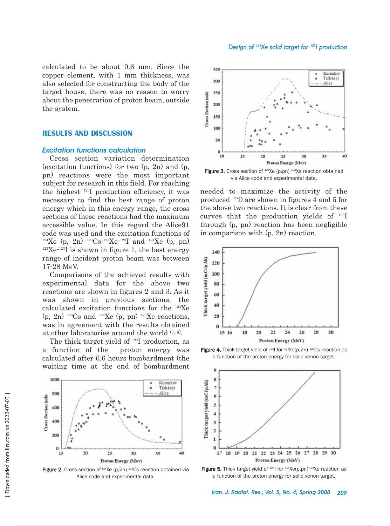calculated to be about 0.6 mm. Since the copper element, with 1 mm thickness, was also selected for constructing the body of the target house, there was no reason to worry about the penetration of proton beam, outside the system.

## **RESULTS AND DISCUSSION**

# *Excitation functions calculation*

Cross section variation determination (excitation functions) for two (p, 2n) and (p, pn) reactions were the most important subject for research in this field. For reaching the highest 123I production efficiency, it was necessary to find the best range of proton energy which in this energy range, the cross sections of these reactions had the maximum accessible value. In this regard the Alice91 code was used and the excitation functions of <sup>124</sup>Xe (p, 2n) <sup>123</sup>Cs<sup>-123</sup>Xe<sup>-123</sup>I and <sup>124</sup>Xe (p, pn)  $123$ Xe<sup>-123</sup>I is shown in figure 1, the best energy range of incident proton beam was between 17-28 MeV.

Comparisons of the achieved results with experimental data for the above two reactions are shown in figures 2 and 3. As it was shown in previous sections, the calculated excitation functions for the 124Xe  $(p, 2n)$ <sup>123</sup>Cs and <sup>124</sup>Xe  $(p, pn)$ <sup>123</sup>Xe reactions, was in agreement with the results obtained at other laboratories around the world (7, 8).

The thick target yield of 123I production, as a function of the proton energy was calculated after 6.6 hours bombardment (the waiting time at the end of bombardment



Figure 2. Cross section of  $124Xe$  (p, 2n)  $123Cs$  reaction obtained via Alice code and experimental data.



Figure 3. Cross section of  $124Xe$  (p,pn)  $123Xe$  reaction obtained via Alice code and experimental data.

needed to maximize the activity of the produced 123I) are shown in figures 4 and 5 for the above two reactions. It is clear from these curves that the production yields of 123I through (p, pn) reaction has been negligible in comparison with (p, 2n) reaction.



**Figure 4.** Thick target yield of  $^{123}$  for  $^{124}$ Xe(p,2n)  $^{123}$ Cs reaction as a function of the proton energy for solid xenon target.



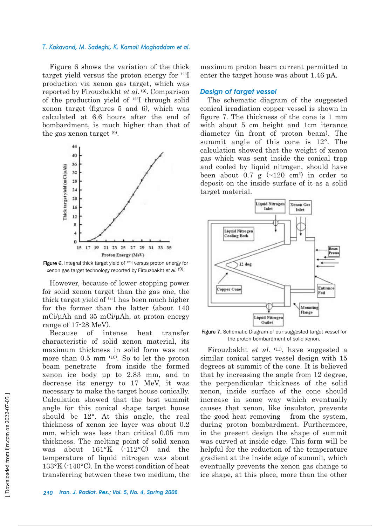#### *T. Kakavand, M. Sadeghi, K. Kamali Moghaddam et al.*

Figure 6 shows the variation of the thick target yield versus the proton energy for 123I production via xenon gas target, which was reported by Firouzbakht et al. (9). Comparison of the production yield of 123I through solid xenon target (figures 5 and 6), which was calculated at 6.6 hours after the end of bombardment, is much higher than that of the gas xenon target (9).



Figure 6. Integral thick target yield of <sup>123</sup>l versus proton energy for xenon gas target technology reported by Firouzbakht *et al.* (9).

However, because of lower stopping power for solid xenon target than the gas one, the thick target yield of 123I has been much higher for the former than the latter (about 140 mCi/µAh and 35 mCi/µAh, at proton energy range of 17-28 MeV).

Because of intense heat transfer characteristic of solid xenon material, its maximum thickness in solid form was not more than 0.5 mm (10). So to let the proton beam penetrate from inside the formed xenon ice body up to 2.83 mm, and to decrease its energy to 17 MeV, it was necessary to make the target house conically. Calculation showed that the best summit angle for this conical shape target house should be 12°. At this angle, the real thickness of xenon ice layer was about 0.2 mm, which was less than critical 0.05 mm thickness. The melting point of solid xenon was about 161°K (-112°C) and the temperature of liquid nitrogen was about 133°K (-140°C). In the worst condition of heat transferring between these two medium, the

maximum proton beam current permitted to enter the target house was about 1.46 µA.

#### *Design of target vessel*

The schematic diagram of the suggested conical irradiation copper vessel is shown in figure 7. The thickness of the cone is 1 mm with about 5 cm height and 1cm iterance diameter (in front of proton beam). The summit angle of this cone is 12°. The calculation showed that the weight of xenon gas which was sent inside the conical trap and cooled by liquid nitrogen, should have been about 0.7  $g \sim 120 \text{ cm}^3$  in order to deposit on the inside surface of it as a solid target material.



Figure 7. Schematic Diagram of our suggested target vessel for the proton bombardment of solid xenon.

Firouzbakht *et al.* <sup>(11)</sup>, have suggested a similar conical target vessel design with 15 degrees at summit of the cone. It is believed that by increasing the angle from 12 degree, the perpendicular thickness of the solid xenon, inside surface of the cone should increase in some way which eventually causes that xenon, like insulator, prevents the good heat removing from the system, during proton bombardment. Furthermore, in the present design the shape of summit was curved at inside edge. This form will be helpful for the reduction of the temperature gradient at the inside edge of summit, which eventually prevents the xenon gas change to ice shape, at this place, more than the other